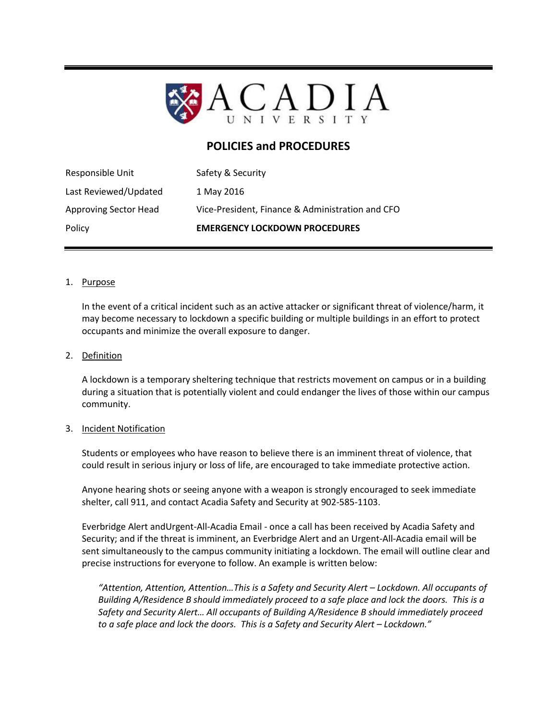

# **POLICIES and PROCEDURES**

| Policy                       | <b>EMERGENCY LOCKDOWN PROCEDURES</b>             |
|------------------------------|--------------------------------------------------|
| <b>Approving Sector Head</b> | Vice-President, Finance & Administration and CFO |
| Last Reviewed/Updated        | 1 May 2016                                       |
| Responsible Unit             | Safety & Security                                |

### 1. Purpose

In the event of a critical incident such as an active attacker or significant threat of violence/harm, it may become necessary to lockdown a specific building or multiple buildings in an effort to protect occupants and minimize the overall exposure to danger.

#### 2. Definition

A lockdown is a temporary sheltering technique that restricts movement on campus or in a building during a situation that is potentially violent and could endanger the lives of those within our campus community.

#### 3. Incident Notification

Students or employees who have reason to believe there is an imminent threat of violence, that could result in serious injury or loss of life, are encouraged to take immediate protective action.

Anyone hearing shots or seeing anyone with a weapon is strongly encouraged to seek immediate shelter, call 911, and contact Acadia Safety and Security at 902-585-1103.

Everbridge Alert andUrgent-All-Acadia Email - once a call has been received by Acadia Safety and Security; and if the threat is imminent, an Everbridge Alert and an Urgent-All-Acadia email will be sent simultaneously to the campus community initiating a lockdown. The email will outline clear and precise instructions for everyone to follow. An example is written below:

*"Attention, Attention, Attention…This is a Safety and Security Alert – Lockdown. All occupants of Building A/Residence B should immediately proceed to a safe place and lock the doors. This is a Safety and Security Alert… All occupants of Building A/Residence B should immediately proceed to a safe place and lock the doors. This is a Safety and Security Alert – Lockdown."*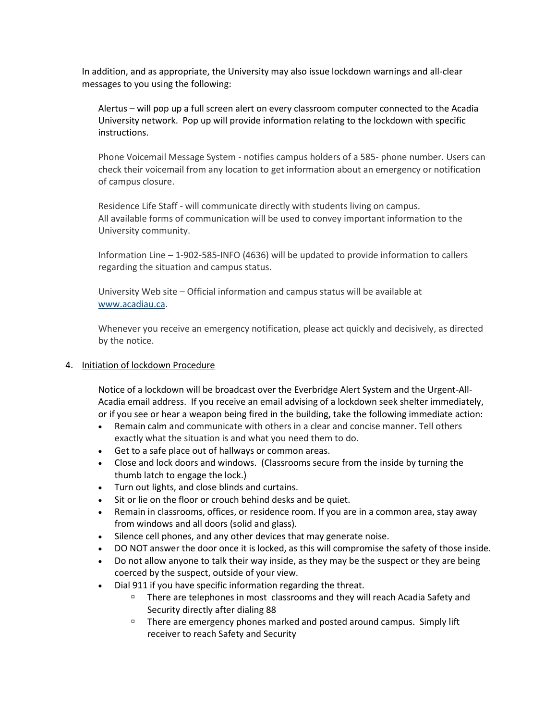In addition, and as appropriate, the University may also issue lockdown warnings and all-clear messages to you using the following:

Alertus – will pop up a full screen alert on every classroom computer connected to the Acadia University network. Pop up will provide information relating to the lockdown with specific instructions.

Phone Voicemail Message System - notifies campus holders of a 585- phone number. Users can check their voicemail from any location to get information about an emergency or notification of campus closure.

Residence Life Staff - will communicate directly with students living on campus. All available forms of communication will be used to convey important information to the University community.

Information Line – 1-902-585-INFO (4636) will be updated to provide information to callers regarding the situation and campus status.

University Web site – Official information and campus status will be available at [www.acadiau.ca.](http://www.acadiau.ca/)

Whenever you receive an emergency notification, please act quickly and decisively, as directed by the notice.

## 4. Initiation of lockdown Procedure

Notice of a lockdown will be broadcast over the Everbridge Alert System and the Urgent-All-Acadia email address. If you receive an email advising of a lockdown seek shelter immediately, or if you see or hear a weapon being fired in the building, take the following immediate action:

- Remain calm and communicate with others in a clear and concise manner. Tell others exactly what the situation is and what you need them to do.
- Get to a safe place out of hallways or common areas.
- Close and lock doors and windows. (Classrooms secure from the inside by turning the thumb latch to engage the lock.)
- Turn out lights, and close blinds and curtains.
- Sit or lie on the floor or crouch behind desks and be quiet.
- Remain in classrooms, offices, or residence room. If you are in a common area, stay away from windows and all doors (solid and glass).
- Silence cell phones, and any other devices that may generate noise.
- DO NOT answer the door once it is locked, as this will compromise the safety of those inside.
- Do not allow anyone to talk their way inside, as they may be the suspect or they are being coerced by the suspect, outside of your view.
- Dial 911 if you have specific information regarding the threat.
	- There are telephones in most classrooms and they will reach Acadia Safety and Security directly after dialing 88
	- $\Box$  There are emergency phones marked and posted around campus. Simply lift receiver to reach Safety and Security